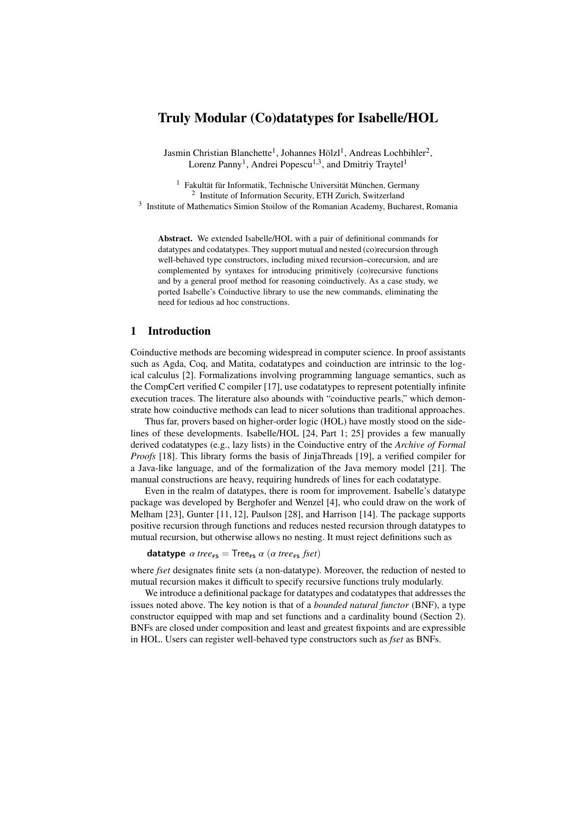# Truly Modular (Co)datatypes for Isabelle/HOL

Jasmin Christian Blanchette<sup>1</sup>, Johannes Hölzl<sup>1</sup>, Andreas Lochbihler<sup>2</sup>, Lorenz Panny<sup>1</sup>, Andrei Popescu<sup>1,3</sup>, and Dmitriy Traytel<sup>1</sup>

<sup>1</sup> Fakultät für Informatik, Technische Universität München, Germany <sup>2</sup> Institute of Information Security, ETH Zurich, Switzerland <sup>3</sup> Institute of Mathematics Simion Stoilow of the Romanian Academy, Bucharest, Romania

Abstract. We extended Isabelle/HOL with a pair of definitional commands for datatypes and codatatypes. They support mutual and nested (co)recursion through well-behaved type constructors, including mixed recursion–corecursion, and are complemented by syntaxes for introducing primitively (co)recursive functions and by a general proof method for reasoning coinductively. As a case study, we ported Isabelle's Coinductive library to use the new commands, eliminating the need for tedious ad hoc constructions.

## <span id="page-0-0"></span>1 Introduction

Coinductive methods are becoming widespread in computer science. In proof assistants such as Agda, Coq, and Matita, codatatypes and coinduction are intrinsic to the logical calculus [\[2\]](#page-15-0). Formalizations involving programming language semantics, such as the CompCert verified C compiler [\[17\]](#page-16-0), use codatatypes to represent potentially infinite execution traces. The literature also abounds with "coinductive pearls," which demonstrate how coinductive methods can lead to nicer solutions than traditional approaches.

Thus far, provers based on higher-order logic (HOL) have mostly stood on the sidelines of these developments. Isabelle/HOL [\[24,](#page-16-1) Part 1; [25\]](#page-16-2) provides a few manually derived codatatypes (e.g., lazy lists) in the Coinductive entry of the *Archive of Formal Proofs* [\[18\]](#page-16-3). This library forms the basis of JinjaThreads [\[19\]](#page-16-4), a verified compiler for a Java-like language, and of the formalization of the Java memory model [\[21\]](#page-16-5). The manual constructions are heavy, requiring hundreds of lines for each codatatype.

Even in the realm of datatypes, there is room for improvement. Isabelle's datatype package was developed by Berghofer and Wenzel [\[4\]](#page-15-1), who could draw on the work of Melham [\[23\]](#page-16-6), Gunter [\[11,](#page-16-7) [12\]](#page-16-8), Paulson [\[28\]](#page-16-9), and Harrison [\[14\]](#page-16-10). The package supports positive recursion through functions and reduces nested recursion through datatypes to mutual recursion, but otherwise allows no nesting. It must reject definitions such as

datatype  $\alpha$  *tree<sub>FS</sub>* = Tree<sub>FS</sub>  $\alpha$  ( $\alpha$  *tree<sub>FS</sub> fset*)

where *fset* designates finite sets (a non-datatype). Moreover, the reduction of nested to mutual recursion makes it difficult to specify recursive functions truly modularly.

We introduce a definitional package for datatypes and codatatypes that addresses the issues noted above. The key notion is that of a *bounded natural functor* (BNF), a type constructor equipped with map and set functions and a cardinality bound (Section [2\)](#page-2-0). BNFs are closed under composition and least and greatest fixpoints and are expressible in HOL. Users can register well-behaved type constructors such as *fset* as BNFs.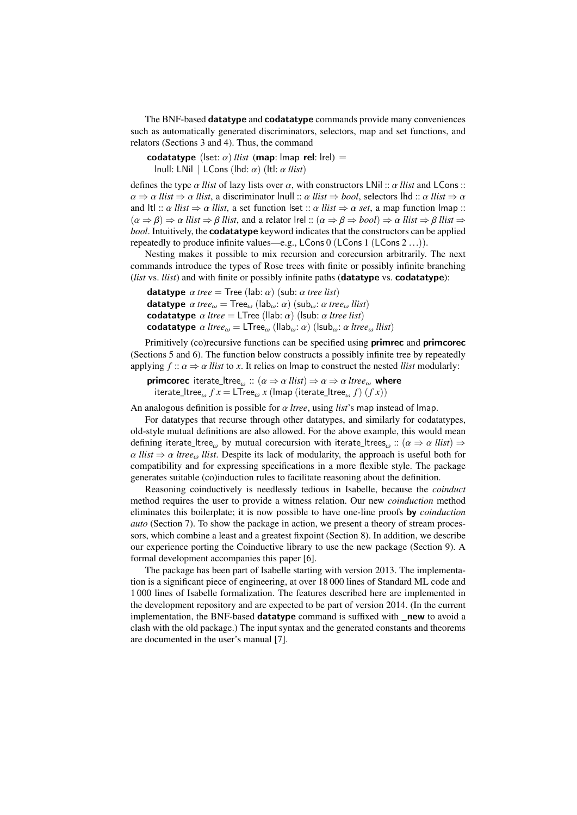The BNF-based datatype and codatatype commands provide many conveniences such as automatically generated discriminators, selectors, map and set functions, and relators (Sections [3](#page-6-0) and [4\)](#page-6-1). Thus, the command

codatatype (lset:  $\alpha$ ) *llist* (map: lmap rel: lrel) = lnull: LNil <sup>|</sup> LCons (lhd: α) (ltl: α *llist*)

defines the type  $\alpha$  *llist* of lazy lists over  $\alpha$ , with constructors LNil ::  $\alpha$  *llist* and LCons ::  $\alpha \Rightarrow \alpha$  *llist*  $\Rightarrow \alpha$  *llist*, a discriminator lnull ::  $\alpha$  *llist*  $\Rightarrow$  *bool*, selectors lhd ::  $\alpha$  *llist*  $\Rightarrow \alpha$ and ltl ::  $\alpha$  *llist*  $\Rightarrow \alpha$  *llist*, a set function lset ::  $\alpha$  *llist*  $\Rightarrow \alpha$  *set*, a map function lmap ::  $(\alpha \Rightarrow \beta) \Rightarrow \alpha$  *llist*  $\Rightarrow \beta$  *llist*, and a relator lrel ::  $(\alpha \Rightarrow \beta \Rightarrow bool) \Rightarrow \alpha$  *llist*  $\Rightarrow \beta$  *llist*  $\Rightarrow$ *bool*. Intuitively, the codatatype keyword indicates that the constructors can be applied repeatedly to produce infinite values—e.g., LCons 0 (LCons 1 (LCons 2 ...)).

Nesting makes it possible to mix recursion and corecursion arbitrarily. The next commands introduce the types of Rose trees with finite or possibly infinite branching (*list* vs. *llist*) and with finite or possibly infinite paths (datatype vs. codatatype):

**datatype**  $\alpha$  *tree* = Tree (lab:  $\alpha$ ) (sub:  $\alpha$  *tree list*) **datatype**  $\alpha$  *tree*<sub>ω</sub> = Tree<sub>ω</sub> (lab<sub>ω</sub>:  $\alpha$ ) (sub<sub>ω</sub>:  $\alpha$  *tree*<sub>ω</sub> *llist*) codatatype  $\alpha$  *ltree* = LTree (llab:  $\alpha$ ) (lsub:  $\alpha$  *ltree list*) codatatype  $\alpha$  *ltree*<sub>ω</sub> = LTree<sub>ω</sub> (llab<sub>ω</sub>:  $\alpha$ ) (lsub<sub>ω</sub>:  $\alpha$  *ltree*<sub>ω</sub> *llist*)

Primitively (co)recursive functions can be specified using primrec and primcorec (Sections [5](#page-8-0) and [6\)](#page-9-0). The function below constructs a possibly infinite tree by repeatedly applying  $f$  ::  $\alpha \Rightarrow \alpha$  *llist* to *x*. It relies on lmap to construct the nested *llist* modularly:

**primcorec** iterate\_ltree<sub>ω</sub> ::  $(\alpha \Rightarrow \alpha \text{ } list) \Rightarrow \alpha \Rightarrow \alpha \text{ } tree_{\omega}$  where iterate\_ltree<sub>ω</sub>  $f x = \text{LTree}_{\omega} x$  (lmap (iterate\_ltree<sub>ω</sub>  $f$ ) ( $f x$ ))

An analogous definition is possible for α *ltree*, using *list*'s map instead of lmap.

For datatypes that recurse through other datatypes, and similarly for codatatypes, old-style mutual definitions are also allowed. For the above example, this would mean defining iterate ltree<sub>ω</sub> by mutual corecursion with iterate ltrees<sub>ω</sub> :: ( $\alpha \Rightarrow \alpha$  *llist*)  $\Rightarrow$  $\alpha$  *llist*  $\Rightarrow$   $\alpha$  *ltree*<sub>ω</sub> *llist*. Despite its lack of modularity, the approach is useful both for compatibility and for expressing specifications in a more flexible style. The package generates suitable (co)induction rules to facilitate reasoning about the definition.

Reasoning coinductively is needlessly tedious in Isabelle, because the *coinduct* method requires the user to provide a witness relation. Our new *coinduction* method eliminates this boilerplate; it is now possible to have one-line proofs by *coinduction auto* (Section [7\)](#page-11-0). To show the package in action, we present a theory of stream processors, which combine a least and a greatest fixpoint (Section [8\)](#page-11-1). In addition, we describe our experience porting the Coinductive library to use the new package (Section [9\)](#page-13-0). A formal development accompanies this paper [\[6\]](#page-15-2).

The package has been part of Isabelle starting with version 2013. The implementation is a significant piece of engineering, at over 18 000 lines of Standard ML code and 1 000 lines of Isabelle formalization. The features described here are implemented in the development repository and are expected to be part of version 2014. (In the current implementation, the BNF-based **datatype** command is suffixed with  $\blacksquare$  new to avoid a clash with the old package.) The input syntax and the generated constants and theorems are documented in the user's manual [\[7\]](#page-15-3).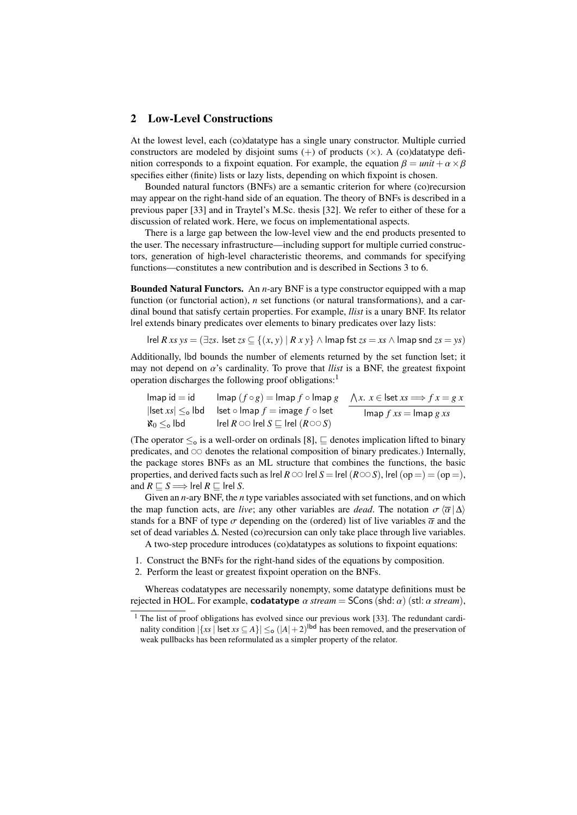#### <span id="page-2-0"></span>2 Low-Level Constructions

At the lowest level, each (co)datatype has a single unary constructor. Multiple curried constructors are modeled by disjoint sums  $(+)$  of products  $(x)$ . A (co)datatype definition corresponds to a fixpoint equation. For example, the equation  $\beta = unit + \alpha \times \beta$ specifies either (finite) lists or lazy lists, depending on which fixpoint is chosen.

Bounded natural functors (BNFs) are a semantic criterion for where (co)recursion may appear on the right-hand side of an equation. The theory of BNFs is described in a previous paper [\[33\]](#page-16-11) and in Traytel's M.Sc. thesis [\[32\]](#page-16-12). We refer to either of these for a discussion of related work. Here, we focus on implementational aspects.

There is a large gap between the low-level view and the end products presented to the user. The necessary infrastructure—including support for multiple curried constructors, generation of high-level characteristic theorems, and commands for specifying functions—constitutes a new contribution and is described in Sections [3](#page-6-0) to [6.](#page-9-0)

Bounded Natural Functors. An *n*-ary BNF is a type constructor equipped with a map function (or functorial action), *n* set functions (or natural transformations), and a cardinal bound that satisfy certain properties. For example, *llist* is a unary BNF. Its relator lrel extends binary predicates over elements to binary predicates over lazy lists:

lrel *<sup>R</sup> xs ys* = (∃*zs*. lset *zs* ⊆ {(*x*, *<sup>y</sup>*) <sup>|</sup> *R x y*} ∧ lmap fst *zs* <sup>=</sup> *xs* <sup>∧</sup> lmap snd *zs* <sup>=</sup> *ys*)

Additionally, lbd bounds the number of elements returned by the set function lset; it may not depend on  $\alpha$ 's cardinality. To prove that *llist* is a BNF, the greatest fixpoint operation discharges the following proof obligations:<sup>[1](#page-2-1)</sup>

| lmap id $=$ id               | $\mathsf{Imap}\,(f\circ g)=\mathsf{Imap}\,f\circ\mathsf{Imap}\,g\quad\text{$\bigwedge$} x.\,\,x\in\mathsf{Iset}\,xs\Longrightarrow f\,x=g\,x$ |                                             |
|------------------------------|-----------------------------------------------------------------------------------------------------------------------------------------------|---------------------------------------------|
|                              | $ \textsf{Set } xs  \leq_0 \textsf{I}$ lset $\circ$ lmap $f = \textsf{image } f \circ \textsf{I}$                                             | $\lim_{s \to s} f xs = \lim_{s \to s} g xs$ |
| $\aleph_0 \leq_{\alpha}$ lbd | Irel $R \circ \circ \circ$ Irel $S \sqsubseteq$ Irel $(R \circ \circ S)$                                                                      |                                             |

(The operator  $\leq_{0}$  is a well-order on ordinals [\[8\]](#page-15-4),  $\sqsubset$  denotes implication lifted to binary predicates, and  $\circlearrowright$  denotes the relational composition of binary predicates.) Internally, the package stores BNFs as an ML structure that combines the functions, the basic properties, and derived facts such as lrel  $R \circ \circ \text{Irel } S = \text{Irel } (R \circ \circ S)$ , lrel(op =) = (op =), and  $R \sqsubseteq S \Longrightarrow \text{Irel } R \sqsubseteq \text{Irel } S$ .

Given an *n*-ary BNF, the *n* type variables associated with set functions, and on which the map function acts, are *live*; any other variables are *dead*. The notation  $\sigma \langle \overline{\alpha} | \Delta \rangle$ stands for a BNF of type  $\sigma$  depending on the (ordered) list of live variables  $\bar{\alpha}$  and the set of dead variables ∆. Nested (co)recursion can only take place through live variables.

A two-step procedure introduces (co)datatypes as solutions to fixpoint equations:

- 1. Construct the BNFs for the right-hand sides of the equations by composition.
- 2. Perform the least or greatest fixpoint operation on the BNFs.

Whereas codatatypes are necessarily nonempty, some datatype definitions must be rejected in HOL. For example, **codatatype**  $\alpha$  *stream* = SCons (shd:  $\alpha$ ) (stl:  $\alpha$  *stream*),

<span id="page-2-1"></span><sup>&</sup>lt;sup>1</sup> The list of proof obligations has evolved since our previous work [\[33\]](#page-16-11). The redundant cardinality condition  $|\{xs \mid \text{leet } xs \subseteq A\}| \leq o (|A|+2)^{|\text{bd}}$  has been removed, and the preservation of weak pullbacks has been reformulated as a simpler property of the relator.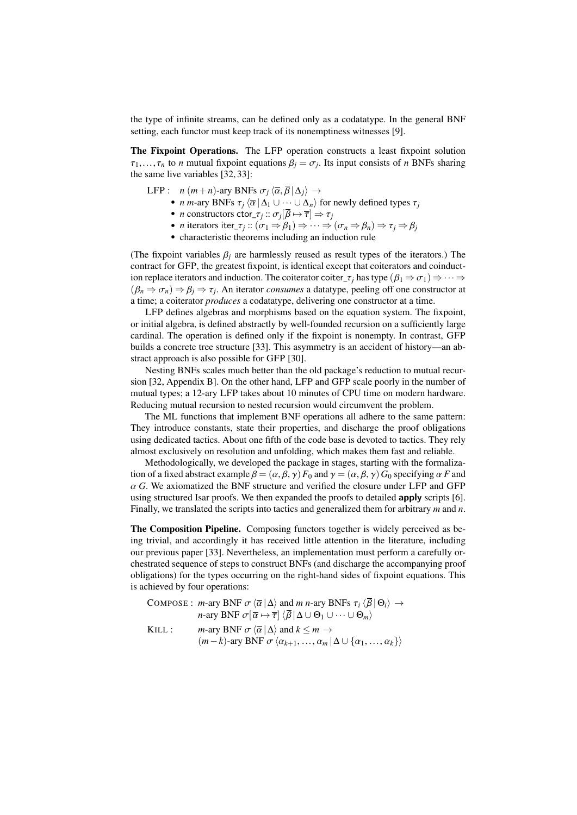the type of infinite streams, can be defined only as a codatatype. In the general BNF setting, each functor must keep track of its nonemptiness witnesses [\[9\]](#page-15-5).

The Fixpoint Operations. The LFP operation constructs a least fixpoint solution  $\tau_1, \ldots, \tau_n$  to *n* mutual fixpoint equations  $\beta_j = \sigma_j$ . Its input consists of *n* BNFs sharing the same live variables [32, 33] the same live variables [\[32,](#page-16-12) [33\]](#page-16-11):

LFP : *n*  $(m+n)$ -ary BNFs  $\sigma_j \langle \overline{\alpha}, \overline{\beta} | \Delta_j \rangle \rightarrow$ 

- *n m*-ary BNFs  $\tau_j \langle \overline{\alpha} | \Delta_1 \cup \cdots \cup \Delta_n \rangle$  for newly defined types  $\tau_j$ 
	- *n* constructors ctor\_ $\tau_j$  ::  $\sigma_j[\overline{\beta} \mapsto \overline{\tau}] \Rightarrow \tau_j$ <br>• *n* iterators iter  $\tau_i$  :  $(\sigma_i \rightarrow \beta_i) \rightarrow \cdots \rightarrow$
	- *n* iterators iter\_ $\tau_j$  ::  $(\sigma_1 \Rightarrow \beta_1) \Rightarrow \cdots \Rightarrow (\sigma_n \Rightarrow \beta_n) \Rightarrow \tau_j \Rightarrow \beta_j$ <br>• characteristic theorems including an induction rule
	- characteristic theorems including an induction rule

(The fixpoint variables  $\beta_i$  are harmlessly reused as result types of the iterators.) The contract for GFP, the greatest fixpoint, is identical except that coiterators and coinduction replace iterators and induction. The coiterator coiter\_ $\tau_j$  has type  $(\beta_1 \Rightarrow \sigma_1) \Rightarrow \cdots \Rightarrow$  $(\beta_n \Rightarrow \sigma_n) \Rightarrow \beta_j \Rightarrow \tau_j$ . An iterator *consumes* a datatype, peeling off one constructor at a time: a coiterator *produces* a codatatype, delivering one constructor at a time. a time; a coiterator *produces* a codatatype, delivering one constructor at a time.

LFP defines algebras and morphisms based on the equation system. The fixpoint, or initial algebra, is defined abstractly by well-founded recursion on a sufficiently large cardinal. The operation is defined only if the fixpoint is nonempty. In contrast, GFP builds a concrete tree structure [\[33\]](#page-16-11). This asymmetry is an accident of history—an abstract approach is also possible for GFP [\[30\]](#page-16-13).

Nesting BNFs scales much better than the old package's reduction to mutual recursion [\[32,](#page-16-12) Appendix B]. On the other hand, LFP and GFP scale poorly in the number of mutual types; a 12-ary LFP takes about 10 minutes of CPU time on modern hardware. Reducing mutual recursion to nested recursion would circumvent the problem.

The ML functions that implement BNF operations all adhere to the same pattern: They introduce constants, state their properties, and discharge the proof obligations using dedicated tactics. About one fifth of the code base is devoted to tactics. They rely almost exclusively on resolution and unfolding, which makes them fast and reliable.

Methodologically, we developed the package in stages, starting with the formalization of a fixed abstract example  $\beta = (\alpha, \beta, \gamma) F_0$  and  $\gamma = (\alpha, \beta, \gamma) G_0$  specifying  $\alpha F$  and α *<sup>G</sup>*. We axiomatized the BNF structure and verified the closure under LFP and GFP using structured Isar proofs. We then expanded the proofs to detailed **apply** scripts [\[6\]](#page-15-2). Finally, we translated the scripts into tactics and generalized them for arbitrary *m* and *n*.

The Composition Pipeline. Composing functors together is widely perceived as being trivial, and accordingly it has received little attention in the literature, including our previous paper [\[33\]](#page-16-11). Nevertheless, an implementation must perform a carefully orchestrated sequence of steps to construct BNFs (and discharge the accompanying proof obligations) for the types occurring on the right-hand sides of fixpoint equations. This is achieved by four operations:

COMPOSE : *m*-ary BNF  $\sigma \langle \overline{\alpha} | \Delta \rangle$  and *m n*-ary BNFs  $\tau_i \langle \overline{\beta} | \Theta_i \rangle \rightarrow$ *n*-ary BNF  $\sigma[\overline{\alpha} \mapsto \overline{\tau}] \langle \overline{\beta} | \Delta \cup \Theta_1 \cup \cdots \cup \Theta_m \rangle$ KILL : *m*-ary BNF  $\sigma \langle \overline{\alpha} | \Delta \rangle$  and  $k \leq m \rightarrow$  $(m-k)$ -ary BNF  $\sigma \langle \alpha_{k+1}, \ldots, \alpha_m | \Delta \cup \{ \alpha_1, \ldots, \alpha_k \} \rangle$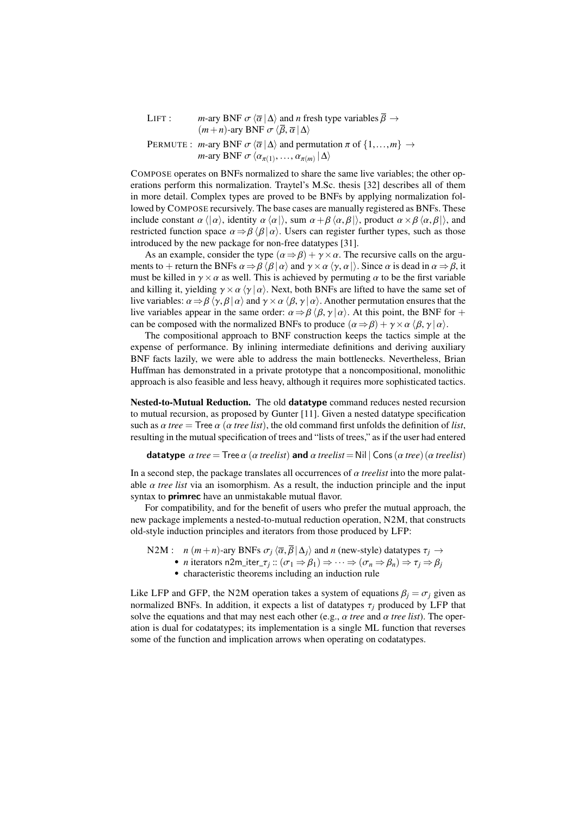LIFT : *m*-ary BNF  $\sigma \langle \overline{\alpha} | \Delta \rangle$  and *n* fresh type variables  $\overline{\beta} \rightarrow$  $(m+n)$ -ary BNF  $\sigma \langle \overline{\beta}, \overline{\alpha} | \Delta \rangle$ 

PERMUTE : *m*-ary BNF  $\sigma \langle \overline{\alpha} | \Delta \rangle$  and permutation  $\pi$  of  $\{1,...,m\} \rightarrow$ *m*-ary BNF  $\sigma \langle \alpha_{\pi(1)}, \ldots, \alpha_{\pi(m)} | \Delta \rangle$ 

COMPOSE operates on BNFs normalized to share the same live variables; the other operations perform this normalization. Traytel's M.Sc. thesis [\[32\]](#page-16-12) describes all of them in more detail. Complex types are proved to be BNFs by applying normalization followed by COMPOSE recursively. The base cases are manually registered as BNFs. These include constant  $\alpha$  ( $|\alpha\rangle$ , identity  $\alpha$   $\langle \alpha | \rangle$ , sum  $\alpha + \beta$   $\langle \alpha, \beta | \rangle$ , product  $\alpha \times \beta$   $\langle \alpha, \beta | \rangle$ , and restricted function space  $\alpha \Rightarrow \beta \langle \beta | \alpha \rangle$ . Users can register further types, such as those introduced by the new package for non-free datatypes [\[31\]](#page-16-14).

As an example, consider the type  $(\alpha \Rightarrow \beta) + \gamma \times \alpha$ . The recursive calls on the arguments to + return the BNFs  $\alpha \Rightarrow \beta \langle \beta | \alpha \rangle$  and  $\gamma \times \alpha \langle \gamma, \alpha | \rangle$ . Since  $\alpha$  is dead in  $\alpha \Rightarrow \beta$ , it must be killed in  $\gamma \times \alpha$  as well. This is achieved by permuting  $\alpha$  to be the first variable and killing it, yielding  $\gamma \times \alpha \langle \gamma | \alpha \rangle$ . Next, both BNFs are lifted to have the same set of live variables:  $\alpha \Rightarrow \beta \langle \gamma, \beta | \alpha \rangle$  and  $\gamma \times \alpha \langle \beta, \gamma | \alpha \rangle$ . Another permutation ensures that the live variables appear in the same order:  $\alpha \Rightarrow \beta \langle \beta, \gamma | \alpha \rangle$ . At this point, the BNF for + can be composed with the normalized BNFs to produce  $(\alpha \Rightarrow \beta) + \gamma \times \alpha \langle \beta, \gamma | \alpha \rangle$ .

The compositional approach to BNF construction keeps the tactics simple at the expense of performance. By inlining intermediate definitions and deriving auxiliary BNF facts lazily, we were able to address the main bottlenecks. Nevertheless, Brian Huffman has demonstrated in a private prototype that a noncompositional, monolithic approach is also feasible and less heavy, although it requires more sophisticated tactics.

Nested-to-Mutual Reduction. The old datatype command reduces nested recursion to mutual recursion, as proposed by Gunter [\[11\]](#page-16-7). Given a nested datatype specification such as  $\alpha$  *tree* = Tree  $\alpha$  ( $\alpha$  *tree list*), the old command first unfolds the definition of *list*, resulting in the mutual specification of trees and "lists of trees," as if the user had entered

datatype  $\alpha$  *tree* = Tree  $\alpha$  ( $\alpha$  *treelist*) and  $\alpha$  *treelist* = Nil | Cons ( $\alpha$  *tree*)( $\alpha$  *treelist*)

In a second step, the package translates all occurrences of α *treelist* into the more palatable  $\alpha$  *tree list* via an isomorphism. As a result, the induction principle and the input syntax to **primrec** have an unmistakable mutual flavor.

For compatibility, and for the benefit of users who prefer the mutual approach, the new package implements a nested-to-mutual reduction operation, N2M, that constructs old-style induction principles and iterators from those produced by LFP:

N2M : *n* (*m*+*n*)-ary BNFs  $\sigma_i \langle \overline{\alpha}, \overline{\beta} | \Delta_i \rangle$  and *n* (new-style) datatypes  $\tau_i \rightarrow$ 

- *n* iterators n2m\_iter\_ $\tau_j$  ::  $(\sigma_1 \Rightarrow \beta_1) \Rightarrow \cdots \Rightarrow (\sigma_n \Rightarrow \beta_n) \Rightarrow \tau_j \Rightarrow \beta_j$ <br>• characteristic theorems including an induction rule
- characteristic theorems including an induction rule

Like LFP and GFP, the N2M operation takes a system of equations  $\beta_i = \sigma_i$  given as normalized BNFs. In addition, it expects a list of datatypes  $\tau_i$  produced by LFP that solve the equations and that may nest each other (e.g.,  $\alpha$  *tree* and  $\alpha$  *tree list*). The operation is dual for codatatypes; its implementation is a single ML function that reverses some of the function and implication arrows when operating on codatatypes.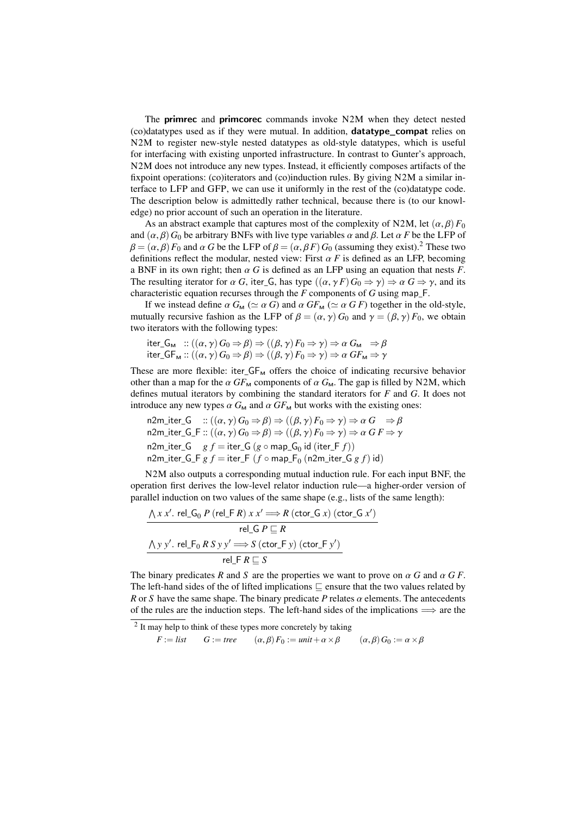The **primrec** and **primcorec** commands invoke N2M when they detect nested (co)datatypes used as if they were mutual. In addition, datatype\_compat relies on N2M to register new-style nested datatypes as old-style datatypes, which is useful for interfacing with existing unported infrastructure. In contrast to Gunter's approach, N2M does not introduce any new types. Instead, it efficiently composes artifacts of the fixpoint operations: (co)iterators and (co)induction rules. By giving N2M a similar interface to LFP and GFP, we can use it uniformly in the rest of the (co)datatype code. The description below is admittedly rather technical, because there is (to our knowledge) no prior account of such an operation in the literature.

As an abstract example that captures most of the complexity of N2M, let  $(\alpha, \beta) F_0$ and  $(\alpha, \beta)$  G<sub>0</sub> be arbitrary BNFs with live type variables  $\alpha$  and  $\beta$ . Let  $\alpha$  *F* be the LFP of  $\beta = (\alpha, \beta) F_0$  and  $\alpha G$  be the LFP of  $\beta = (\alpha, \beta F) G_0$  (assuming they exist).<sup>[2](#page-5-0)</sup> These two definitions reflect the modular, nested view: First  $\alpha F$  is defined as an LFP, becoming a BNF in its own right; then  $\alpha G$  is defined as an LFP using an equation that nests *F*. The resulting iterator for  $\alpha G$ , iter\_G, has type  $((\alpha, \gamma F)G_0 \Rightarrow \gamma) \Rightarrow \alpha G \Rightarrow \gamma$ , and its characteristic equation recurses through the *F* components of *G* using map\_F.

If we instead define  $\alpha G_M \simeq \alpha G$ ) and  $\alpha G_F_M \simeq \alpha G_F$ ) together in the old-style, mutually recursive fashion as the LFP of  $\beta = (\alpha, \gamma) G_0$  and  $\gamma = (\beta, \gamma) F_0$ , we obtain two iterators with the following types:

$$
\begin{array}{l}\n\text{iter\_G}_{\mathsf{M}} :: ((\alpha, \gamma) \, G_0 \Rightarrow \beta) \Rightarrow ((\beta, \gamma) \, F_0 \Rightarrow \gamma) \Rightarrow \alpha \, G_{\mathsf{M}} \Rightarrow \beta \\
\text{iter\_GF}_{\mathsf{M}} :: ((\alpha, \gamma) \, G_0 \Rightarrow \beta) \Rightarrow ((\beta, \gamma) \, F_0 \Rightarrow \gamma) \Rightarrow \alpha \, GF_{\mathsf{M}} \Rightarrow \gamma\n\end{array}
$$

These are more flexible: iter\_ $GF_{M}$  offers the choice of indicating recursive behavior other than a map for the  $\alpha$   $GF_{\text{M}}$  components of  $\alpha$   $G_{\text{M}}$ . The gap is filled by N2M, which defines mutual iterators by combining the standard iterators for *F* and *G*. It does not introduce any new types  $\alpha G_M$  and  $\alpha G_F_M$  but works with the existing ones:

n2miter\_G :: 
$$
((\alpha, \gamma)G_0 \Rightarrow \beta) \Rightarrow ((\beta, \gamma)F_0 \Rightarrow \gamma) \Rightarrow \alpha G \Rightarrow \beta
$$
  
\nn2miter\_G\_F ::  $((\alpha, \gamma)G_0 \Rightarrow \beta) \Rightarrow ((\beta, \gamma)F_0 \Rightarrow \gamma) \Rightarrow \alpha G F \Rightarrow \gamma$   
\nn2miter\_G g f = iter\_G (g o map\_G id (iter\_F f))  
\nn2miter\_G\_F g f = iter\_F (f o map\_F\_0 (n2miter\_G g f) id)

N2M also outputs a corresponding mutual induction rule. For each input BNF, the operation first derives the low-level relator induction rule—a higher-order version of parallel induction on two values of the same shape (e.g., lists of the same length):

$$
\frac{\bigwedge x x'. \text{ rel\_G}_0 P (\text{ rel\_F } R) x x' \Longrightarrow R (\text{ctor\_G } x) (\text{ctor\_G } x')}{\text{ rel\_G } P \sqsubseteq R}
$$
\n
$$
\frac{\bigwedge y y'. \text{ rel\_F}_0 R S y y' \Longrightarrow S (\text{ctor\_F } y) (\text{ctor\_F } y')}{\text{ rel\_F } R \sqsubseteq S}
$$

The binary predicates *R* and *S* are the properties we want to prove on  $\alpha G$  and  $\alpha G$  *F*. The left-hand sides of the of lifted implications  $\sqsubseteq$  ensure that the two values related by *R* or *S* have the same shape. The binary predicate  $P$  relates  $\alpha$  elements. The antecedents of the rules are the induction steps. The left-hand sides of the implications  $\implies$  are the

<span id="page-5-0"></span> $2$  It may help to think of these types more concretely by taking

*F* := *list*  $G := \text{tree}$   $(\alpha, \beta) F_0 := \text{unit} + \alpha \times \beta$   $(\alpha, \beta) G_0 := \alpha \times \beta$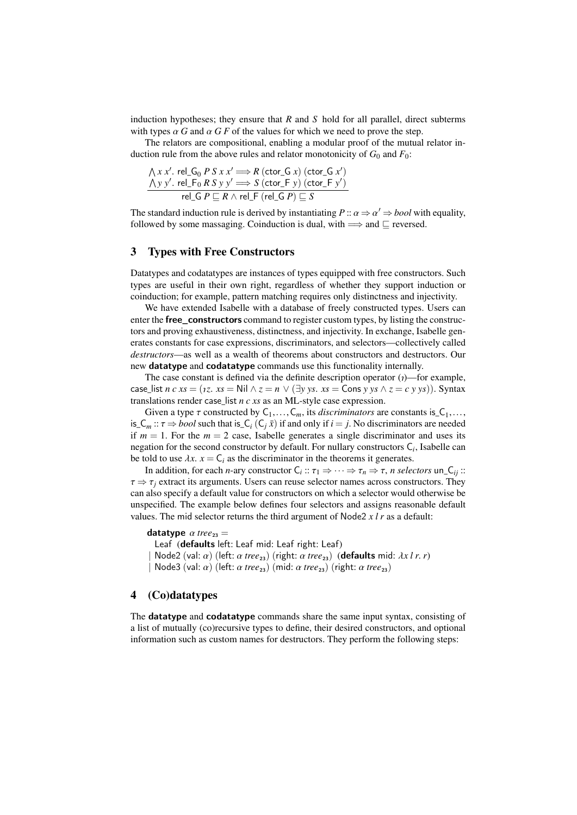induction hypotheses; they ensure that *R* and *S* hold for all parallel, direct subterms with types  $\alpha G$  and  $\alpha G$  *F* of the values for which we need to prove the step.

The relators are compositional, enabling a modular proof of the mutual relator induction rule from the above rules and relator monotonicity of  $G_0$  and  $F_0$ :

$$
\begin{array}{c}\n\bigwedge x x'. \text{ rel\_G}_0 \, P \, S \, x \, x' \Longrightarrow R \, (\text{ctor\_G } x) \, (\text{ctor\_G } x') \\
\bigwedge y \, y'. \text{ rel\_F}_0 \, R \, S \, y \, y' \Longrightarrow S \, (\text{ctor\_F } y) \, (\text{ctor\_F } y') \\
\text{ rel\_G } P \sqsubseteq R \land \text{ rel\_F \, (rel\_G } P) \sqsubseteq S\n\end{array}
$$

The standard induction rule is derived by instantiating  $P$  ::  $\alpha \Rightarrow \alpha' \Rightarrow bool$  with equality, followed by some massaging. Coinduction is dual, with  $\rightarrow$  and  $\Box$  reversed followed by some massaging. Coinduction is dual, with  $\implies$  and  $\Box$  reversed.

## <span id="page-6-0"></span>3 Types with Free Constructors

Datatypes and codatatypes are instances of types equipped with free constructors. Such types are useful in their own right, regardless of whether they support induction or coinduction; for example, pattern matching requires only distinctness and injectivity.

We have extended Isabelle with a database of freely constructed types. Users can enter the **free\_constructors** command to register custom types, by listing the constructors and proving exhaustiveness, distinctness, and injectivity. In exchange, Isabelle generates constants for case expressions, discriminators, and selectors—collectively called *destructors*—as well as a wealth of theorems about constructors and destructors. Our new **datatype** and **codatatype** commands use this functionality internally.

The case constant is defined via the definite description operator  $(1)$ —for example, case\_list *n c xs* = (*1z*. *xs* = Nil  $\land$  *z* = *n*  $\lor$  (∃*y ys*. *xs* = Cons *y ys*  $\land$  *z* = *c y ys*)). Syntax translations render case\_list *n c xs* as an ML-style case expression.

Given a type  $\tau$  constructed by  $C_1, \ldots, C_m$ , its *discriminators* are constants is  $C_1, \ldots, C_m$ is\_C<sub>m</sub> ::  $\tau \Rightarrow$  *bool* such that is\_C<sub>*i*</sub></sub>(C<sub>*j*</sub> $\bar{x}$ ) if and only if *i* = *j*. No discriminators are needed<br>if  $m - 1$ . For the  $m - 2$  case. Isabelle generates a single discriminator and uses its if  $m = 1$ . For the  $m = 2$  case, Isabelle generates a single discriminator and uses its negation for the second constructor by default. For nullary constructors C*<sup>i</sup>* , Isabelle can be told to use  $\lambda x$ .  $x = C_i$  as the discriminator in the theorems it generates.

In addition, for each *n*-ary constructor  $C_i$  ::  $\tau_1 \Rightarrow \cdots \Rightarrow \tau_n \Rightarrow \tau$ , *n* selectors un\_C<sub>ij</sub> ::<br>A restract its arguments. Hence an reuse selector names across constructors. They  $\tau \Rightarrow \tau_i$  extract its arguments. Users can reuse selector names across constructors. They can also specify a default value for constructors on which a selector would otherwise be unspecified. The example below defines four selectors and assigns reasonable default values. The mid selector returns the third argument of Node2 *x l r* as a default:

datatype  $\alpha$  *tree*<sub>22</sub> =

Leaf (defaults left: Leaf mid: Leaf right: Leaf)

 $\text{Node2 (val: } \alpha)$  (left:  $\alpha \text{ tree}_{23}$ ) (right:  $\alpha \text{ tree}_{23}$ ) (defaults mid:  $\lambda x \text{ } l \text{ } r \text{.} r$ )

<sup>|</sup> Node3 (val: α) (left: α *tree*23) (mid: α *tree*23) (right: α *tree*23)

## <span id="page-6-1"></span>4 (Co)datatypes

The datatype and codatatype commands share the same input syntax, consisting of a list of mutually (co)recursive types to define, their desired constructors, and optional information such as custom names for destructors. They perform the following steps: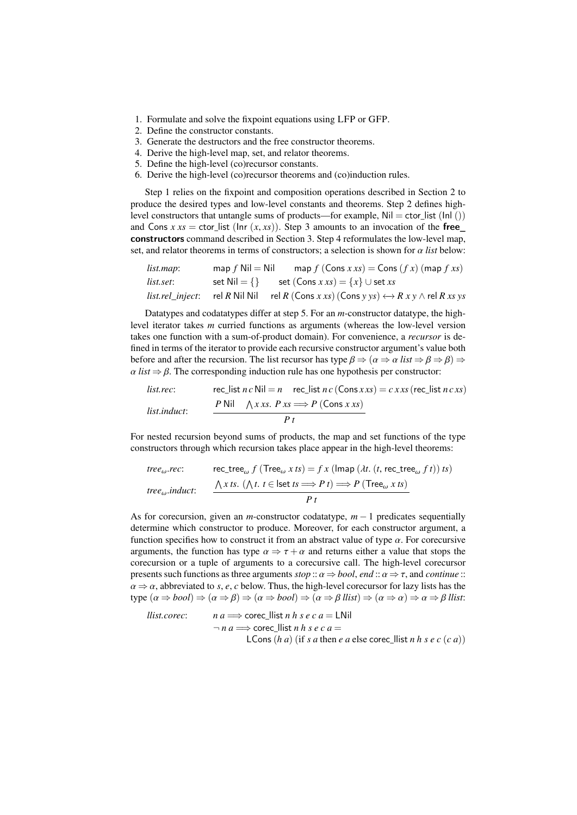- 1. Formulate and solve the fixpoint equations using LFP or GFP.
- 2. Define the constructor constants.
- 3. Generate the destructors and the free constructor theorems.
- 4. Derive the high-level map, set, and relator theorems.
- 5. Define the high-level (co)recursor constants.
- 6. Derive the high-level (co)recursor theorems and (co)induction rules.

Step 1 relies on the fixpoint and composition operations described in Section [2](#page-2-0) to produce the desired types and low-level constants and theorems. Step 2 defines highlevel constructors that untangle sums of products—for example,  $Nil = \text{ctor}$  list (Inl ()) and Cons  $x \, xs = \text{ctor}$  list (Inr  $(x, xs)$ ). Step 3 amounts to an invocation of the free constructors command described in Section [3.](#page-6-0) Step 4 reformulates the low-level map, set, and relator theorems in terms of constructors; a selection is shown for α *list* below:

| list.map: | map f Nil = Nil map f $(Cons x x s) = Cons (fx) (map f x s)$                                                     |
|-----------|------------------------------------------------------------------------------------------------------------------|
| list.set: | set Nil = {} set $(Cons x x s) = \{x\} \cup set x s$                                                             |
|           | <i>list.rel_inject</i> : rel R Nil Nil rel R (Cons x xs) (Cons y ys) $\leftrightarrow$ R x y $\land$ rel R xs ys |

Datatypes and codatatypes differ at step 5. For an *m*-constructor datatype, the highlevel iterator takes *m* curried functions as arguments (whereas the low-level version takes one function with a sum-of-product domain). For convenience, a *recursor* is defined in terms of the iterator to provide each recursive constructor argument's value both before and after the recursion. The list recursor has type  $\beta \Rightarrow (\alpha \Rightarrow \alpha \text{ list } \Rightarrow \beta \Rightarrow \beta) \Rightarrow$  $\alpha$  *list*  $\Rightarrow \beta$ . The corresponding induction rule has one hypothesis per constructor:

*list. rec.* rec\_list 
$$
nc
$$
 Nil =  $n$  rec\_list  $nc$  (Cons  $xxs$ ) =  $c$   $xxs$  (rec\_list  $n$   $cxs$ )  
*list.induct:* 
$$
\frac{P \text{ Nil} \quad \bigwedge xxs. \ P xs \Longrightarrow P \text{ (Cons } xxs)}{P t}
$$

For nested recursion beyond sums of products, the map and set functions of the type constructors through which recursion takes place appear in the high-level theorems:

*tree*<sub>$$
\omega
$$</sub>*.rec*:  

$$
\text{rec\_tree}_{\omega} f \text{ (Tree}_{\omega} x ts) = f x \text{ (imap } (dt. (t, \text{rec\_tree}_{\omega} ft)) ts)
$$
  
*tree* <sub>$\omega$</sub> *.induct*:  

$$
\frac{\bigwedge x ts. (\bigwedge t. t \in \text{Iset } ts \implies P t) \Longrightarrow P \text{ (Tree}_{\omega} x ts)}{P t}
$$

As for corecursion, given an *m*-constructor codatatype, *m* − 1 predicates sequentially determine which constructor to produce. Moreover, for each constructor argument, a function specifies how to construct it from an abstract value of type  $\alpha$ . For corecursive arguments, the function has type  $\alpha \Rightarrow \tau + \alpha$  and returns either a value that stops the corecursion or a tuple of arguments to a corecursive call. The high-level corecursor presents such functions as three arguments *stop* ::  $\alpha \Rightarrow \text{bool}$ , *end* ::  $\alpha \Rightarrow \tau$ , and *continue* ::  $\alpha \Rightarrow \alpha$ , abbreviated to *s*, *e*, *c* below. Thus, the high-level corecursor for lazy lists has the type  $(\alpha \Rightarrow bool) \Rightarrow (\alpha \Rightarrow \beta) \Rightarrow (\alpha \Rightarrow bool) \Rightarrow (\alpha \Rightarrow \beta$ *llist*)  $\Rightarrow (\alpha \Rightarrow \alpha) \Rightarrow \alpha \Rightarrow \beta$ *llist*:

*llist.core:* 
$$
n a \Longrightarrow \text{core\_llist } n \, h \, s \, e \, c \, a = \text{LNil}
$$
\n $\neg n \, a \Longrightarrow \text{core\_llist } n \, h \, s \, e \, c \, a = \text{LCons } (h \, a) \text{ (if } s \, a \text{ then } e \, a \text{ else } \text{core\_llist } n \, h \, s \, e \, c \, (c \, a))$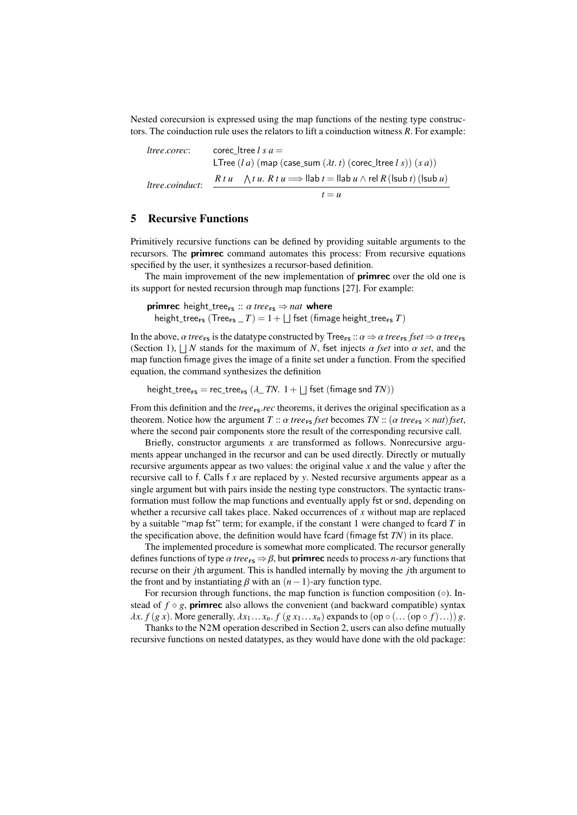Nested corecursion is expressed using the map functions of the nesting type constructors. The coinduction rule uses the relators to lift a coinduction witness *R*. For example:

| ltree.corec:    | corec Itree <i>l s a</i> $=$                                                      |                                                                                                                  |  |  |
|-----------------|-----------------------------------------------------------------------------------|------------------------------------------------------------------------------------------------------------------|--|--|
|                 | LTree $(l\ a)$ (map (case_sum $(\lambda t.\ t)$ (corec_ltree $l\ s)$ ) $(s\ a)$ ) |                                                                                                                  |  |  |
| ltree.coinduct: |                                                                                   | $R t u \quad \bigwedge t u$ . $R t u \Longrightarrow$ Ilab $t =$ Ilab $u \wedge$ rel $R$ (Isub $t$ ) (Isub $u$ ) |  |  |
|                 |                                                                                   | $t = u$                                                                                                          |  |  |

## <span id="page-8-0"></span>5 Recursive Functions

Primitively recursive functions can be defined by providing suitable arguments to the recursors. The primrec command automates this process: From recursive equations specified by the user, it synthesizes a recursor-based definition.

The main improvement of the new implementation of **primrec** over the old one is its support for nested recursion through map functions [\[27\]](#page-16-15). For example:

**primrec** height\_tree<sub>FS</sub> ::  $\alpha$  *tree*<sub>FS</sub>  $\Rightarrow$  *nat* where

height\_tree<sub>rs</sub>  $(T$ ree<sub>rs  $T$ </sub>) = 1 +  $\Box$  fset (fimage height\_tree<sub>rs</sub>  $T$ )

In the above,  $\alpha$  *tree*<sub>FS</sub> is the datatype constructed by Tree<sub>FS</sub> ::  $\alpha \Rightarrow \alpha$  *tree*<sub>FS</sub> *fset*  $\Rightarrow \alpha$  *tree*<sub>FS</sub> (Section [1\)](#page-0-0),  $\Box N$  stands for the maximum of *N*, fset injects  $\alpha$  *fset* into  $\alpha$  *set*, and the man function firmage gives the image of a finite set under a function. From the specified map function fimage gives the image of a finite set under a function. From the specified equation, the command synthesizes the definition

height\_tree<sub>rs</sub> = rec\_tree<sub>rs</sub>  $(\lambda \_$ *TN*.  $1 + \bigsqcup$  fset (fimage snd *TN*))

From this definition and the *tree*<sub>FS</sub>.*rec* theorems, it derives the original specification as a theorem. Notice how the argument *T* ::  $\alpha$  *tree*<sub>FS</sub> *fset* becomes *TN* :: ( $\alpha$  *tree*<sub>FS</sub>  $\times$  *nat*)*fset*, where the second pair components store the result of the corresponding recursive call.

Briefly, constructor arguments *x* are transformed as follows. Nonrecursive arguments appear unchanged in the recursor and can be used directly. Directly or mutually recursive arguments appear as two values: the original value *x* and the value *y* after the recursive call to f. Calls f *x* are replaced by *y*. Nested recursive arguments appear as a single argument but with pairs inside the nesting type constructors. The syntactic transformation must follow the map functions and eventually apply fst or snd, depending on whether a recursive call takes place. Naked occurrences of *x* without map are replaced by a suitable "map fst" term; for example, if the constant 1 were changed to fcard *T* in the specification above, the definition would have fcard (fimage fst *TN*) in its place.

The implemented procedure is somewhat more complicated. The recursor generally defines functions of type  $\alpha$  *tree*<sub>FS</sub>  $\Rightarrow \beta$ , but **primrec** needs to process *n*-ary functions that recurse on their *j*th argument. This is handled internally by moving the *j*th argument to the front and by instantiating  $\beta$  with an  $(n-1)$ -ary function type.

For recursion through functions, the map function is function composition  $( \circ )$ . Instead of  $f \circ g$ , **primrec** also allows the convenient (and backward compatible) syntax  $\lambda x. f(g x)$ . More generally,  $\lambda x_1 \ldots x_n. f(g x_1 \ldots x_n)$  expands to  $(op \circ (\ldots (op \circ f) \ldots)) g$ .

Thanks to the N2M operation described in Section [2,](#page-2-0) users can also define mutually recursive functions on nested datatypes, as they would have done with the old package: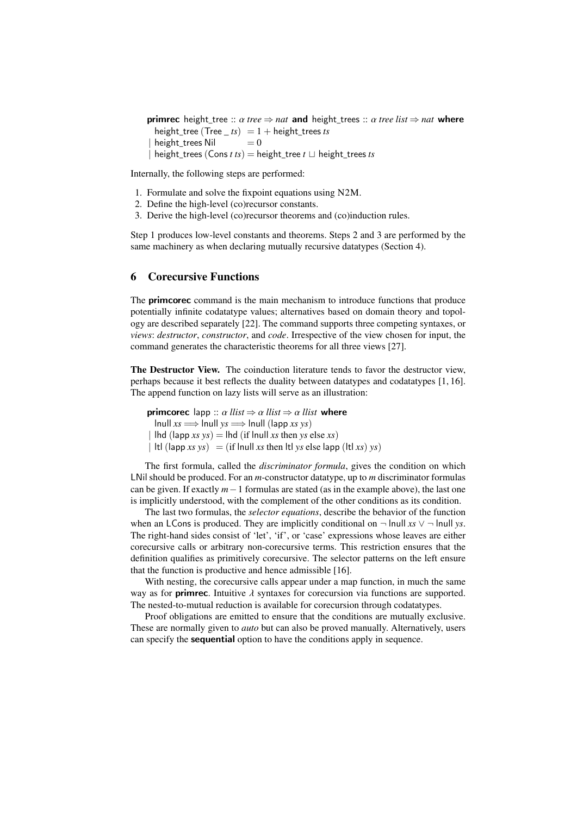**primrec** height tree ::  $\alpha$  *tree*  $\Rightarrow$  *nat* and height trees ::  $\alpha$  *tree list*  $\Rightarrow$  *nat* where height\_tree  $(Tree_t s) = 1 + height_t$ rees *ts* height\_trees Nil  $= 0$ | height trees  $(Cons t \, t s)$  = height tree  $t \, \sqcup$  height trees *ts* 

Internally, the following steps are performed:

- 1. Formulate and solve the fixpoint equations using N2M.
- 2. Define the high-level (co)recursor constants.
- 3. Derive the high-level (co)recursor theorems and (co)induction rules.

Step 1 produces low-level constants and theorems. Steps 2 and 3 are performed by the same machinery as when declaring mutually recursive datatypes (Section [4\)](#page-6-1).

## <span id="page-9-0"></span>6 Corecursive Functions

The **primcorec** command is the main mechanism to introduce functions that produce potentially infinite codatatype values; alternatives based on domain theory and topology are described separately [\[22\]](#page-16-16). The command supports three competing syntaxes, or *views*: *destructor*, *constructor*, and *code*. Irrespective of the view chosen for input, the command generates the characteristic theorems for all three views [\[27\]](#page-16-15).

The Destructor View. The coinduction literature tends to favor the destructor view, perhaps because it best reflects the duality between datatypes and codatatypes [\[1,](#page-15-6) [16\]](#page-16-17). The append function on lazy lists will serve as an illustration:

**primcorec** lapp ::  $\alpha$  *llist*  $\Rightarrow \alpha$  *llist* where lnull *xs* =⇒ lnull *ys* =⇒ lnull (lapp *xs ys*)  $\text{d}$  (lapp *xs*  $\text{y}$ *s*) =  $\text{d}$  (if  $\text{d}$  lnull *xs* then  $\text{y}$ *s* else *xs*) | ltl (lapp *xs ys*) = (if lnull *xs* then ltl *ys* else lapp (ltl *xs*) *ys*)

The first formula, called the *discriminator formula*, gives the condition on which LNil should be produced. For an *m*-constructor datatype, up to *m* discriminator formulas can be given. If exactly *m*−1 formulas are stated (as in the example above), the last one is implicitly understood, with the complement of the other conditions as its condition.

The last two formulas, the *selector equations*, describe the behavior of the function when an LCons is produced. They are implicitly conditional on  $\neg$  lnull *xs*  $\vee \neg$  lnull *ys*. The right-hand sides consist of 'let', 'if', or 'case' expressions whose leaves are either corecursive calls or arbitrary non-corecursive terms. This restriction ensures that the definition qualifies as primitively corecursive. The selector patterns on the left ensure that the function is productive and hence admissible [\[16\]](#page-16-17).

With nesting, the corecursive calls appear under a map function, in much the same way as for **primrec**. Intuitive  $\lambda$  syntaxes for corecursion via functions are supported. The nested-to-mutual reduction is available for corecursion through codatatypes.

Proof obligations are emitted to ensure that the conditions are mutually exclusive. These are normally given to *auto* but can also be proved manually. Alternatively, users can specify the sequential option to have the conditions apply in sequence.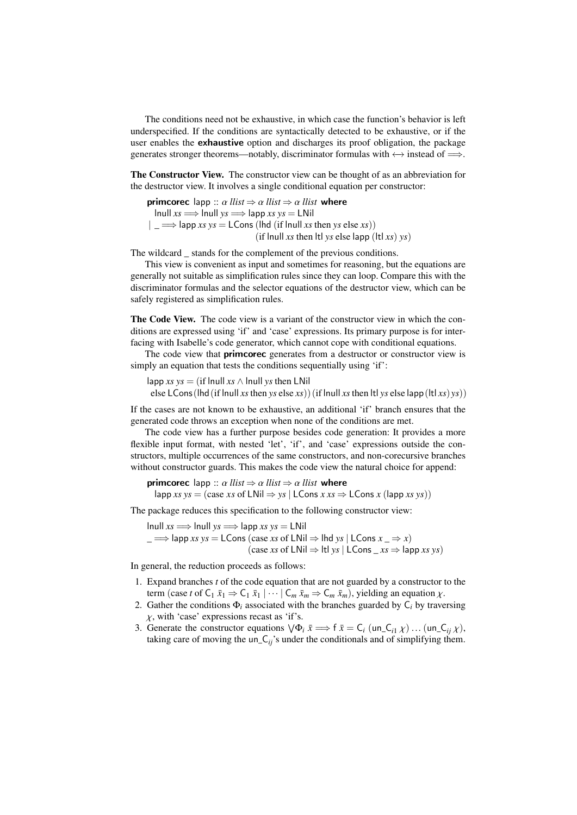The conditions need not be exhaustive, in which case the function's behavior is left underspecified. If the conditions are syntactically detected to be exhaustive, or if the user enables the **exhaustive** option and discharges its proof obligation, the package generates stronger theorems—notably, discriminator formulas with  $\leftrightarrow$  instead of  $\Longrightarrow$ .

The Constructor View. The constructor view can be thought of as an abbreviation for the destructor view. It involves a single conditional equation per constructor:

**primcorec** lapp ::  $\alpha$  *llist*  $\Rightarrow \alpha$  *llist* where lnull *xs* =⇒ lnull *ys* =⇒ lapp *xs ys* = LNil  $|\Rightarrow$  lapp *xs*  $ys =$  LCons (lhd (if lnull *xs* then *ys* else *xs*)) (if lnull *xs* then ltl *ys* else lapp (ltl *xs*)  $y$ s)

The wildcard stands for the complement of the previous conditions.

This view is convenient as input and sometimes for reasoning, but the equations are generally not suitable as simplification rules since they can loop. Compare this with the discriminator formulas and the selector equations of the destructor view, which can be safely registered as simplification rules.

The Code View. The code view is a variant of the constructor view in which the conditions are expressed using 'if' and 'case' expressions. Its primary purpose is for interfacing with Isabelle's code generator, which cannot cope with conditional equations.

The code view that **primcorec** generates from a destructor or constructor view is simply an equation that tests the conditions sequentially using 'if':

lapp *xs*  $ys =$  (if lnull *xs*  $\land$  lnull *ys* then LNil else LCons(lhd(if lnull *xs*then *ys* else *xs*)) (if lnull *xs*then ltl *ys* else lapp(ltl *xs*)*ys*))

If the cases are not known to be exhaustive, an additional 'if' branch ensures that the generated code throws an exception when none of the conditions are met.

The code view has a further purpose besides code generation: It provides a more flexible input format, with nested 'let', 'if', and 'case' expressions outside the constructors, multiple occurrences of the same constructors, and non-corecursive branches without constructor guards. This makes the code view the natural choice for append:

**primcorec** lapp ::  $\alpha$  *llist*  $\Rightarrow \alpha$  *llist* where lapp *xs*  $ys = (case \, xs \, of \, LNil \Rightarrow ys \, \vert \, LCons \, x \, xs \Rightarrow LCons \, x \, (\text{lapp} \, xs \, ys))$ 

The package reduces this specification to the following constructor view:

 $lnull xs \Longrightarrow Inull vs \Longrightarrow lapp xs vs = LNil$  $\Rightarrow$  lapp *xs*  $ys =$  LCons (case *xs* of LNil  $\Rightarrow$  lhd  $ys \mid$  LCons  $x \Rightarrow x$ )  $(\case xs \text{ of LNil} \Rightarrow \text{ltl} \text{ ys} \mid \text{LCons} \_\text{xs} \Rightarrow \text{lapp xs} \text{ ys})$ 

In general, the reduction proceeds as follows:

- 1. Expand branches *t* of the code equation that are not guarded by a constructor to the term (case *t* of  $C_1 \bar{x}_1 \Rightarrow C_1 \bar{x}_1 \mid \cdots \mid C_m \bar{x}_m \Rightarrow C_m \bar{x}_m$ ), yielding an equation  $\chi$ .
- 2. Gather the conditions  $\Phi_i$  associated with the branches guarded by  $C_i$  by traversing  $\chi$ , with 'case' expressions recast as 'if's.
- 3. Generate the constructor equations  $\forall \Phi_i \overline{x} \Longrightarrow f \overline{x} = C_i \left( \text{un}_i \overline{C}_{i1} \chi \right) \dots \left( \text{un}_i \overline{C}_{ij} \chi \right)$ , taking care of moving the un  $C_i$ 's under the conditionals and of simplifying them taking care of moving the un $C_{ij}$ 's under the conditionals and of simplifying them.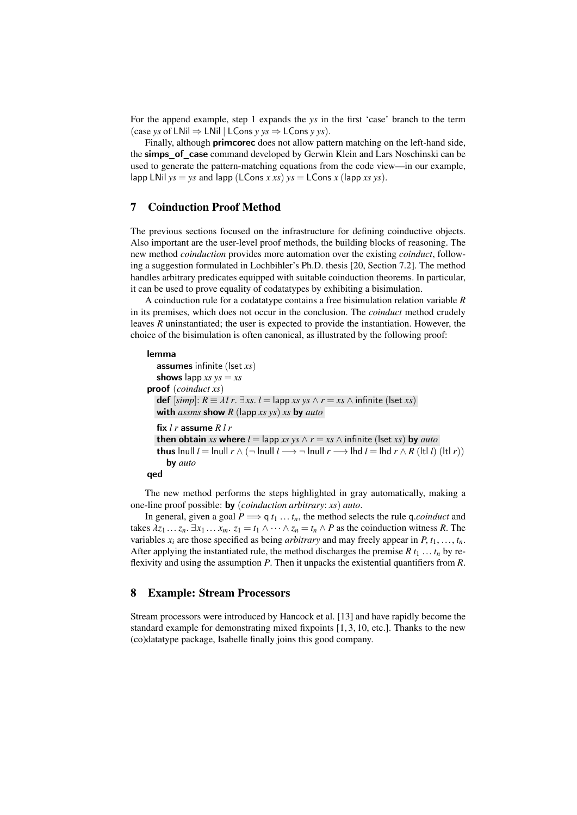For the append example, step 1 expands the *ys* in the first 'case' branch to the term  $(\text{case } y \text{ of LNil} \Rightarrow \text{LNil} | \text{LCons } y \text{ is } \Rightarrow \text{LCons } y \text{ is}).$ 

Finally, although primcorec does not allow pattern matching on the left-hand side, the simps of case command developed by Gerwin Klein and Lars Noschinski can be used to generate the pattern-matching equations from the code view—in our example, lapp LNil  $ys = ys$  and lapp (LCons  $x xs$ )  $ys =$  LCons  $x$  (lapp  $xs$   $ys$ ).

## <span id="page-11-0"></span>7 Coinduction Proof Method

The previous sections focused on the infrastructure for defining coinductive objects. Also important are the user-level proof methods, the building blocks of reasoning. The new method *coinduction* provides more automation over the existing *coinduct*, following a suggestion formulated in Lochbihler's Ph.D. thesis [\[20,](#page-16-18) Section 7.2]. The method handles arbitrary predicates equipped with suitable coinduction theorems. In particular, it can be used to prove equality of codatatypes by exhibiting a bisimulation.

A coinduction rule for a codatatype contains a free bisimulation relation variable *R* in its premises, which does not occur in the conclusion. The *coinduct* method crudely leaves *R* uninstantiated; the user is expected to provide the instantiation. However, the choice of the bisimulation is often canonical, as illustrated by the following proof:

#### lemma

```
assumes infinite (lset xs)
   shows lapp xs vs = xsproof (coinduct xs)
   def [simp]: R \equiv \lambda l r. \exists xs. l = lapp xs ys \wedge r = xs \wedge infinite (lset xs)
   with assms show R (lapp xs ys) xs by auto
   fix l r assume R l r
   then obtain xs where l = lapp xs ys \wedge r = xs \wedge infinite (lset xs) by auto
   thus lnull l = lnull r \wedge (\neg \text{hull } l \longrightarrow \neg \text{hull } r \longrightarrow \text{lhd } l = \text{lhd } r \wedge R \text{ (ltl } l) \text{ (ltl } r)by auto
qed
```
The new method performs the steps highlighted in gray automatically, making a one-line proof possible: by (*coinduction arbitrary*: *xs*) *auto*.

In general, given a goal  $P \Longrightarrow q t_1 \ldots t_n$ , the method selects the rule q.*coinduct* and takes  $\lambda z_1 \ldots z_n$ .  $\exists x_1 \ldots x_m$ .  $z_1 = t_1 \wedge \cdots \wedge z_n = t_n \wedge P$  as the coinduction witness R. The variables  $x_i$  are those specified as being *arbitrary* and may freely appear in  $P$ ,  $t_1, \ldots, t_n$ . After applying the instantiated rule, the method discharges the premise  $R t_1 \ldots t_n$  by reflexivity and using the assumption *P*. Then it unpacks the existential quantifiers from *R*.

## <span id="page-11-1"></span>8 Example: Stream Processors

Stream processors were introduced by Hancock et al. [\[13\]](#page-16-19) and have rapidly become the standard example for demonstrating mixed fixpoints [\[1,](#page-15-6) [3,](#page-15-7) [10,](#page-15-8) etc.]. Thanks to the new (co)datatype package, Isabelle finally joins this good company.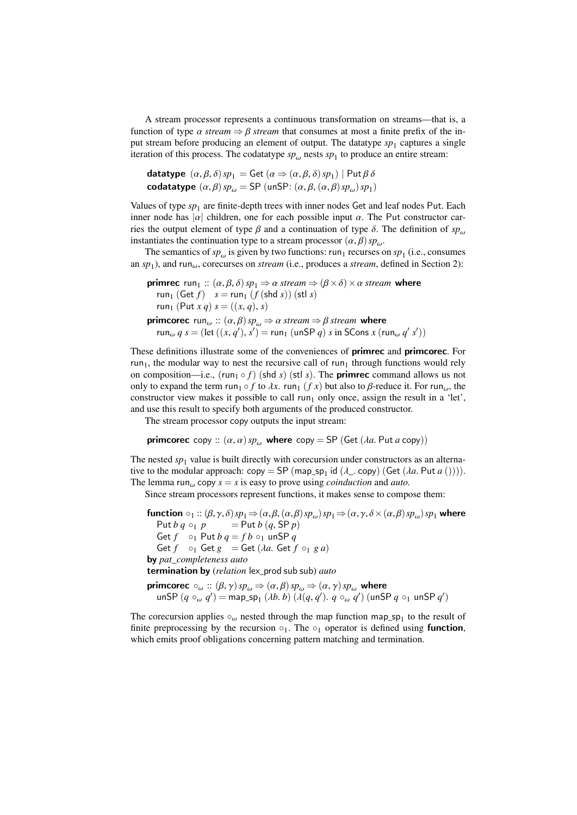A stream processor represents a continuous transformation on streams—that is, a function of type  $\alpha$  *stream*  $\Rightarrow \beta$  *stream* that consumes at most a finite prefix of the input stream before producing an element of output. The datatype  $sp<sub>1</sub>$  captures a single iteration of this process. The codatatype  $sp_{\omega}$  nests  $sp_1$  to produce an entire stream:

```
datatype (\alpha, \beta, \delta)sp_1 = \text{Get } (\alpha \Rightarrow (\alpha, \beta, \delta)sp_1) | \text{Put } \beta \deltacodatatype (\alpha, \beta)sp<sub>ω</sub> = SP (unSP: (\alpha, \beta, (\alpha, \beta)sp<sub>ω</sub>)sp<sub>1</sub>)
```
Values of type  $sp_1$  are finite-depth trees with inner nodes Get and leaf nodes Put. Each inner node has | $\alpha$ | children, one for each possible input  $\alpha$ . The Put constructor carries the output element of type  $\beta$  and a continuation of type  $\delta$ . The definition of  $sp_{\omega}$ instantiates the continuation type to a stream processor  $(\alpha, \beta)$  sp<sub>ω</sub>.

The semantics of  $sp_{\omega}$  is given by two functions:  $run_1$  recurses on  $sp_1$  (i.e., consumes an  $sp_1$ ), and run<sub>ω</sub>, corecurses on *stream* (i.e., produces a *stream*, defined in Section [2\)](#page-2-0):

```
primrec run<sub>1</sub> :: (\alpha, \beta, \delta) sp_1 \Rightarrow \alpha stream \Rightarrow (\beta \times \delta) \times \alpha stream where
    run_1 (Get f) s = run_1 (f (shd s)) (stl s)
    run<sub>1</sub> (Put x q) s = ((x, q), s)primcorec run<sub>ω</sub> :: (\alpha, \beta) sp<sub>ω</sub> \Rightarrow α stream \Rightarrow β stream where
    run<sub>ω</sub> q s = (\text{let } ((x, q'), s') = \text{run}_1 (\text{unSP } q) s \text{ in SCons } x (\text{run}_\omega q' s'))
```

```
These definitions illustrate some of the conveniences of primrec and primcorec. For
run<sub>1</sub>, the modular way to nest the recursive call of run<sub>1</sub> through functions would rely
on composition—i.e., (run<sub>1</sub> \circ f) (shd s) (stl s). The primrec command allows us not
only to expand the term run<sub>1</sub> ∘ f to \lambda x. run<sub>1</sub> (f x) but also to β-reduce it. For run<sub>ω</sub>, the
constructor view makes it possible to call run_1 only once, assign the result in a 'let',
and use this result to specify both arguments of the produced constructor.
```
The stream processor copy outputs the input stream:

```
primcorec copy :: (\alpha, \alpha) sp<sub>ω</sub> where copy = SP (Get (\lambda a. Put a copy))
```
The nested  $sp_1$  value is built directly with corecursion under constructors as an alternative to the modular approach: copy = SP (map\_sp<sub>1</sub> id ( $\lambda$ <sub>-</sub> copy) (Get ( $\lambda$ *a*. Put *a* ()))).<br>The lemma run, copy  $s = s$  is easy to prove using *coinduction* and *auto* The lemma run<sub> $\omega$ </sub> copy  $s = s$  is easy to prove using *coinduction* and *auto*.

Since stream processors represent functions, it makes sense to compose them:

```
function \circ_1 :: (\beta, \gamma, \delta)sp<sub>1</sub>\Rightarrow (\alpha, \beta, (\alpha, \beta)sp<sub>ω</sub>)sp<sub>1</sub>\Rightarrow (\alpha, \gamma, \delta \times (\alpha, \beta)sp<sub>ω</sub>)sp<sub>1</sub> where
    Put b q \circ_1 p = Put b (q, \text{SP } p)Get f \circ q Put b q = f b \circ q unSP qGet f \circ_1 Get g = \text{Get} (\lambda a). Get f \circ_1 g aby pat_completeness auto
termination by (relation lex_prod sub sub) auto
primcorec \circ_{\omega} :: (\beta, \gamma) sp<sub>ω</sub> \Rightarrow (\alpha, \beta) sp<sub>ω</sub> \Rightarrow (\alpha, \gamma) sp<sub>ω</sub> where
```
 $\lim_{\delta \to 0} (q \circ_{\omega} q') = \lim_{\delta \to 0} \sup_{\delta \to 0} ( \lambda b, b) ( \lambda (q, q'), q \circ_{\omega} q') (\text{unSP } q \circ_{1} \text{unSP } q')$ 

The corecursion applies  $\circ_{\omega}$  nested through the map function map\_sp<sub>1</sub> to the result of finite preprocessing by the requision  $\circ_{\omega}$ . The  $\circ_{\omega}$  operator is defined using **function** finite preprocessing by the recursion  $\circ_1$ . The  $\circ_1$  operator is defined using function, which emits proof obligations concerning pattern matching and termination.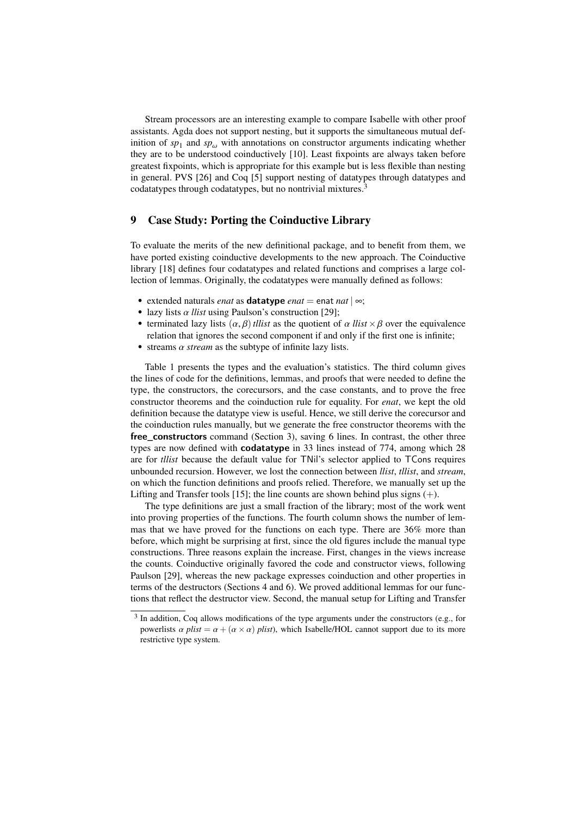Stream processors are an interesting example to compare Isabelle with other proof assistants. Agda does not support nesting, but it supports the simultaneous mutual definition of  $sp_1$  and  $sp_\omega$  with annotations on constructor arguments indicating whether<br>they are to be understood coinductively [10] Least fixpoints are always taken before they are to be understood coinductively [\[10\]](#page-15-8). Least fixpoints are always taken before greatest fixpoints, which is appropriate for this example but is less flexible than nesting in general. PVS [\[26\]](#page-16-20) and Coq [\[5\]](#page-15-9) support nesting of datatypes through datatypes and codatatypes through codatatypes, but no nontrivial mixtures.<sup>[3](#page-13-1)</sup>

## <span id="page-13-0"></span>9 Case Study: Porting the Coinductive Library

To evaluate the merits of the new definitional package, and to benefit from them, we have ported existing coinductive developments to the new approach. The Coinductive library [\[18\]](#page-16-3) defines four codatatypes and related functions and comprises a large collection of lemmas. Originally, the codatatypes were manually defined as follows:

- extended naturals *enat* as **datatype** *enat* = enat *nat*  $| \infty;$
- lazy lists <sup>α</sup> *llist* using Paulson's construction [\[29\]](#page-16-21);
- terminated lazy lists  $(\alpha, \beta)$  *tilist* as the quotient of  $\alpha$  *llist*  $\times \beta$  over the equivalence relation that ignores the second component if and only if the first one is infinite;
- streams  $\alpha$  *stream* as the subtype of infinite lazy lists.

Table [1](#page-14-0) presents the types and the evaluation's statistics. The third column gives the lines of code for the definitions, lemmas, and proofs that were needed to define the type, the constructors, the corecursors, and the case constants, and to prove the free constructor theorems and the coinduction rule for equality. For *enat*, we kept the old definition because the datatype view is useful. Hence, we still derive the corecursor and the coinduction rules manually, but we generate the free constructor theorems with the free\_constructors command (Section [3\)](#page-6-0), saving 6 lines. In contrast, the other three types are now defined with codatatype in 33 lines instead of 774, among which 28 are for *tllist* because the default value for TNil's selector applied to TCons requires unbounded recursion. However, we lost the connection between *llist*, *tllist*, and *stream*, on which the function definitions and proofs relied. Therefore, we manually set up the Lifting and Transfer tools [\[15\]](#page-16-22); the line counts are shown behind plus signs  $(+)$ .

The type definitions are just a small fraction of the library; most of the work went into proving properties of the functions. The fourth column shows the number of lemmas that we have proved for the functions on each type. There are 36% more than before, which might be surprising at first, since the old figures include the manual type constructions. Three reasons explain the increase. First, changes in the views increase the counts. Coinductive originally favored the code and constructor views, following Paulson [\[29\]](#page-16-21), whereas the new package expresses coinduction and other properties in terms of the destructors (Sections [4](#page-6-1) and [6\)](#page-9-0). We proved additional lemmas for our functions that reflect the destructor view. Second, the manual setup for Lifting and Transfer

<span id="page-13-1"></span> $3$  In addition, Coq allows modifications of the type arguments under the constructors (e.g., for powerlists  $\alpha$  *plist* =  $\alpha + (\alpha \times \alpha)$  *plist*), which Isabelle/HOL cannot support due to its more restrictive type system.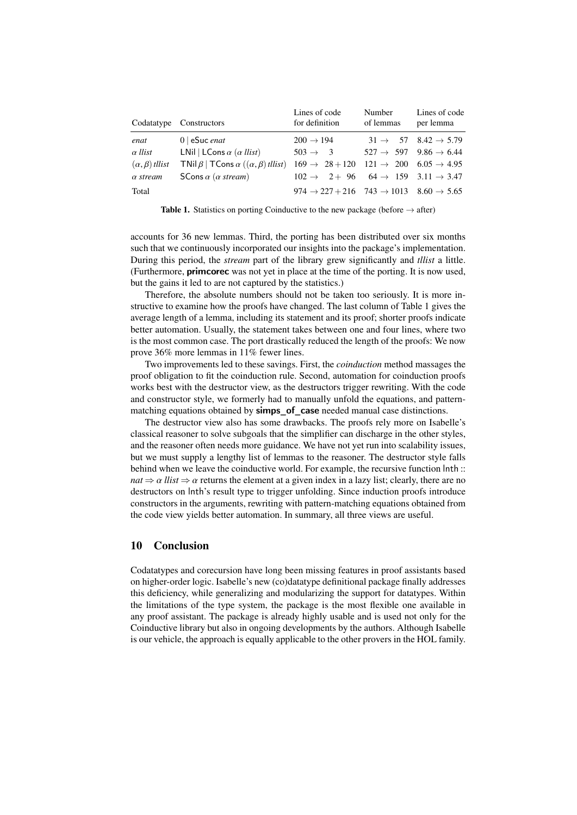|                          | Codatatype Constructors                                       | Lines of code<br>for definition                                             | Number<br>of lemmas | Lines of code<br>per lemma                        |
|--------------------------|---------------------------------------------------------------|-----------------------------------------------------------------------------|---------------------|---------------------------------------------------|
| enat                     | $0 \mid eS$ uc <i>enat</i>                                    | $200 \rightarrow 194$                                                       |                     | $31 \rightarrow 57$ $8.42 \rightarrow 5.79$       |
| $\alpha$ llist           | LNil   LCons $\alpha$ ( $\alpha$ <i>llist</i> )               | $503 \rightarrow 3$                                                         |                     | $527 \rightarrow 597$ 9.86 $\rightarrow 6.44$     |
| $(\alpha, \beta)$ tllist | TNil $\beta$   TCons $\alpha$ (( $\alpha$ , $\beta$ ) tllist) | $169 \rightarrow 28 + 120$                                                  |                     | $121 \rightarrow 200 \quad 6.05 \rightarrow 4.95$ |
| $\alpha$ stream          | SCons $\alpha$ ( $\alpha$ stream)                             | $102 \rightarrow 2+96 \quad 64 \rightarrow 159 \quad 3.11 \rightarrow 3.47$ |                     |                                                   |
| Total                    |                                                               | $974 \rightarrow 227 + 216$ $743 \rightarrow 1013$ $8.60 \rightarrow 5.65$  |                     |                                                   |
|                          |                                                               |                                                                             |                     |                                                   |

<span id="page-14-0"></span>**Table 1.** Statistics on porting Coinductive to the new package (before  $\rightarrow$  after)

accounts for 36 new lemmas. Third, the porting has been distributed over six months such that we continuously incorporated our insights into the package's implementation. During this period, the *stream* part of the library grew significantly and *tllist* a little. (Furthermore, **primcorec** was not yet in place at the time of the porting. It is now used, but the gains it led to are not captured by the statistics.)

Therefore, the absolute numbers should not be taken too seriously. It is more instructive to examine how the proofs have changed. The last column of Table [1](#page-14-0) gives the average length of a lemma, including its statement and its proof; shorter proofs indicate better automation. Usually, the statement takes between one and four lines, where two is the most common case. The port drastically reduced the length of the proofs: We now prove 36% more lemmas in 11% fewer lines.

Two improvements led to these savings. First, the *coinduction* method massages the proof obligation to fit the coinduction rule. Second, automation for coinduction proofs works best with the destructor view, as the destructors trigger rewriting. With the code and constructor style, we formerly had to manually unfold the equations, and patternmatching equations obtained by **simps** of case needed manual case distinctions.

The destructor view also has some drawbacks. The proofs rely more on Isabelle's classical reasoner to solve subgoals that the simplifier can discharge in the other styles, and the reasoner often needs more guidance. We have not yet run into scalability issues, but we must supply a lengthy list of lemmas to the reasoner. The destructor style falls behind when we leave the coinductive world. For example, the recursive function lnth ::  $nat \Rightarrow \alpha$  *llist*  $\Rightarrow \alpha$  returns the element at a given index in a lazy list; clearly, there are no destructors on lnth's result type to trigger unfolding. Since induction proofs introduce constructors in the arguments, rewriting with pattern-matching equations obtained from the code view yields better automation. In summary, all three views are useful.

## 10 Conclusion

Codatatypes and corecursion have long been missing features in proof assistants based on higher-order logic. Isabelle's new (co)datatype definitional package finally addresses this deficiency, while generalizing and modularizing the support for datatypes. Within the limitations of the type system, the package is the most flexible one available in any proof assistant. The package is already highly usable and is used not only for the Coinductive library but also in ongoing developments by the authors. Although Isabelle is our vehicle, the approach is equally applicable to the other provers in the HOL family.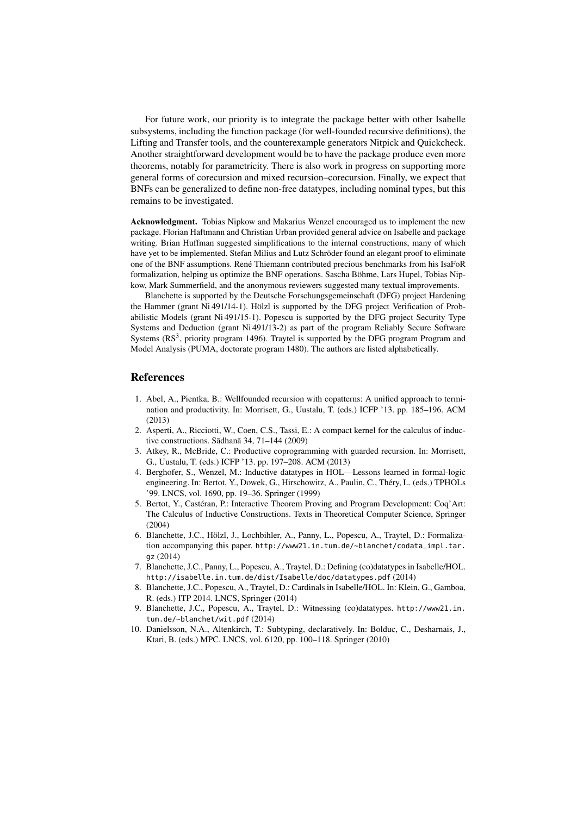For future work, our priority is to integrate the package better with other Isabelle subsystems, including the function package (for well-founded recursive definitions), the Lifting and Transfer tools, and the counterexample generators Nitpick and Quickcheck. Another straightforward development would be to have the package produce even more theorems, notably for parametricity. There is also work in progress on supporting more general forms of corecursion and mixed recursion–corecursion. Finally, we expect that BNFs can be generalized to define non-free datatypes, including nominal types, but this remains to be investigated.

Acknowledgment. Tobias Nipkow and Makarius Wenzel encouraged us to implement the new package. Florian Haftmann and Christian Urban provided general advice on Isabelle and package writing. Brian Huffman suggested simplifications to the internal constructions, many of which have yet to be implemented. Stefan Milius and Lutz Schröder found an elegant proof to eliminate one of the BNF assumptions. René Thiemann contributed precious benchmarks from his IsaFoR formalization, helping us optimize the BNF operations. Sascha Böhme, Lars Hupel, Tobias Nipkow, Mark Summerfield, and the anonymous reviewers suggested many textual improvements.

Blanchette is supported by the Deutsche Forschungsgemeinschaft (DFG) project Hardening the Hammer (grant Ni 491/14-1). Hölzl is supported by the DFG project Verification of Probabilistic Models (grant Ni 491/15-1). Popescu is supported by the DFG project Security Type Systems and Deduction (grant Ni 491/13-2) as part of the program Reliably Secure Software Systems  $(RS<sup>3</sup>$ , priority program 1496). Traytel is supported by the DFG program Program and Model Analysis (PUMA, doctorate program 1480). The authors are listed alphabetically.

#### References

- <span id="page-15-6"></span>1. Abel, A., Pientka, B.: Wellfounded recursion with copatterns: A unified approach to termination and productivity. In: Morrisett, G., Uustalu, T. (eds.) ICFP '13. pp. 185–196. ACM (2013)
- <span id="page-15-0"></span>2. Asperti, A., Ricciotti, W., Coen, C.S., Tassi, E.: A compact kernel for the calculus of inductive constructions. Sādhanā  $34$ ,  $71-144$  (2009)
- <span id="page-15-7"></span>3. Atkey, R., McBride, C.: Productive coprogramming with guarded recursion. In: Morrisett, G., Uustalu, T. (eds.) ICFP '13. pp. 197–208. ACM (2013)
- <span id="page-15-1"></span>4. Berghofer, S., Wenzel, M.: Inductive datatypes in HOL—Lessons learned in formal-logic engineering. In: Bertot, Y., Dowek, G., Hirschowitz, A., Paulin, C., Théry, L. (eds.) TPHOLs '99. LNCS, vol. 1690, pp. 19–36. Springer (1999)
- <span id="page-15-9"></span>5. Bertot, Y., Castéran, P.: Interactive Theorem Proving and Program Development: Coq'Art: The Calculus of Inductive Constructions. Texts in Theoretical Computer Science, Springer (2004)
- <span id="page-15-2"></span>6. Blanchette, J.C., Hölzl, J., Lochbihler, A., Panny, L., Popescu, A., Traytel, D.: Formalization accompanying this paper. [http://www21.in.tum.de/~blanchet/codata\\_impl.tar.](http://www21.in.tum.de/~blanchet/codata_impl.tar.gz) [gz](http://www21.in.tum.de/~blanchet/codata_impl.tar.gz) (2014)
- <span id="page-15-3"></span>7. Blanchette, J.C., Panny, L., Popescu, A., Traytel, D.: Defining (co)datatypes in Isabelle/HOL. <http://isabelle.in.tum.de/dist/Isabelle/doc/datatypes.pdf> (2014)
- <span id="page-15-4"></span>8. Blanchette, J.C., Popescu, A., Traytel, D.: Cardinals in Isabelle/HOL. In: Klein, G., Gamboa, R. (eds.) ITP 2014. LNCS, Springer (2014)
- <span id="page-15-5"></span>9. Blanchette, J.C., Popescu, A., Traytel, D.: Witnessing (co)datatypes. [http://www21.in.](http://www21.in.tum.de/~blanchet/wit.pdf) [tum.de/~blanchet/wit.pdf](http://www21.in.tum.de/~blanchet/wit.pdf) (2014)
- <span id="page-15-8"></span>10. Danielsson, N.A., Altenkirch, T.: Subtyping, declaratively. In: Bolduc, C., Desharnais, J., Ktari, B. (eds.) MPC. LNCS, vol. 6120, pp. 100–118. Springer (2010)